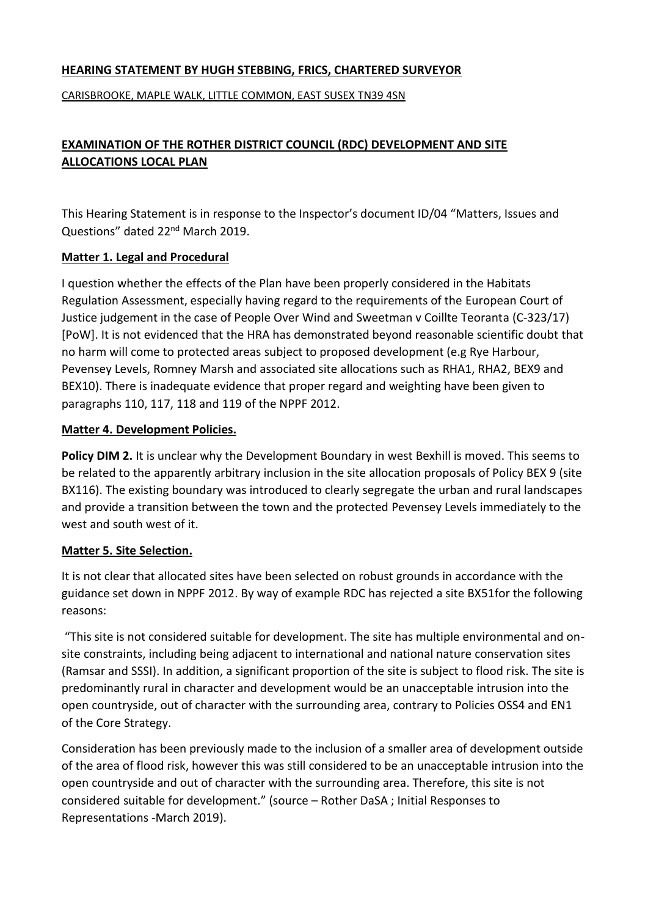### **HEARING STATEMENT BY HUGH STEBBING, FRICS, CHARTERED SURVEYOR**

CARISBROOKE, MAPLE WALK, LITTLE COMMON, EAST SUSEX TN39 4SN

# **EXAMINATION OF THE ROTHER DISTRICT COUNCIL (RDC) DEVELOPMENT AND SITE ALLOCATIONS LOCAL PLAN**

This Hearing Statement is in response to the Inspector's document ID/04 "Matters, Issues and Questions" dated 22<sup>nd</sup> March 2019.

#### **Matter 1. Legal and Procedural**

I question whether the effects of the Plan have been properly considered in the Habitats Regulation Assessment, especially having regard to the requirements of the European Court of Justice judgement in the case of People Over Wind and Sweetman v Coillte Teoranta (C-323/17) [PoW]. It is not evidenced that the HRA has demonstrated beyond reasonable scientific doubt that no harm will come to protected areas subject to proposed development (e.g Rye Harbour, Pevensey Levels, Romney Marsh and associated site allocations such as RHA1, RHA2, BEX9 and BEX10). There is inadequate evidence that proper regard and weighting have been given to paragraphs 110, 117, 118 and 119 of the NPPF 2012.

#### **Matter 4. Development Policies.**

**Policy DIM 2.** It is unclear why the Development Boundary in west Bexhill is moved. This seems to be related to the apparently arbitrary inclusion in the site allocation proposals of Policy BEX 9 (site BX116). The existing boundary was introduced to clearly segregate the urban and rural landscapes and provide a transition between the town and the protected Pevensey Levels immediately to the west and south west of it.

#### **Matter 5. Site Selection.**

It is not clear that allocated sites have been selected on robust grounds in accordance with the guidance set down in NPPF 2012. By way of example RDC has rejected a site BX51for the following reasons:

"This site is not considered suitable for development. The site has multiple environmental and onsite constraints, including being adjacent to international and national nature conservation sites (Ramsar and SSSI). In addition, a significant proportion of the site is subject to flood risk. The site is predominantly rural in character and development would be an unacceptable intrusion into the open countryside, out of character with the surrounding area, contrary to Policies OSS4 and EN1 of the Core Strategy.

Consideration has been previously made to the inclusion of a smaller area of development outside of the area of flood risk, however this was still considered to be an unacceptable intrusion into the open countryside and out of character with the surrounding area. Therefore, this site is not considered suitable for development." (source – Rother DaSA ; Initial Responses to Representations -March 2019).